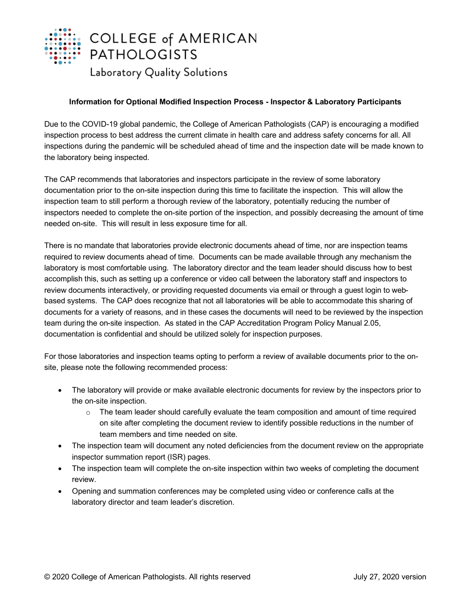

## **Information for Optional Modified Inspection Process - Inspector & Laboratory Participants**

Due to the COVID-19 global pandemic, the College of American Pathologists (CAP) is encouraging a modified inspection process to best address the current climate in health care and address safety concerns for all. All inspections during the pandemic will be scheduled ahead of time and the inspection date will be made known to the laboratory being inspected.

The CAP recommends that laboratories and inspectors participate in the review of some laboratory documentation prior to the on-site inspection during this time to facilitate the inspection. This will allow the inspection team to still perform a thorough review of the laboratory, potentially reducing the number of inspectors needed to complete the on-site portion of the inspection, and possibly decreasing the amount of time needed on-site. This will result in less exposure time for all.

There is no mandate that laboratories provide electronic documents ahead of time, nor are inspection teams required to review documents ahead of time. Documents can be made available through any mechanism the laboratory is most comfortable using. The laboratory director and the team leader should discuss how to best accomplish this, such as setting up a conference or video call between the laboratory staff and inspectors to review documents interactively, or providing requested documents via email or through a guest login to webbased systems. The CAP does recognize that not all laboratories will be able to accommodate this sharing of documents for a variety of reasons, and in these cases the documents will need to be reviewed by the inspection team during the on-site inspection. As stated in the CAP Accreditation Program Policy Manual 2.05, documentation is confidential and should be utilized solely for inspection purposes.

For those laboratories and inspection teams opting to perform a review of available documents prior to the onsite, please note the following recommended process:

- The laboratory will provide or make available electronic documents for review by the inspectors prior to the on-site inspection.
	- $\circ$  The team leader should carefully evaluate the team composition and amount of time required on site after completing the document review to identify possible reductions in the number of team members and time needed on site.
- The inspection team will document any noted deficiencies from the document review on the appropriate inspector summation report (ISR) pages.
- The inspection team will complete the on-site inspection within two weeks of completing the document review.
- Opening and summation conferences may be completed using video or conference calls at the laboratory director and team leader's discretion.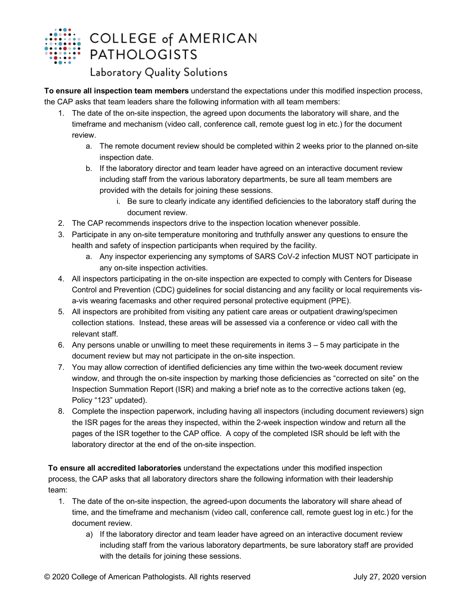

## Laboratory Quality Solutions

**To ensure all inspection team members** understand the expectations under this modified inspection process, the CAP asks that team leaders share the following information with all team members:

- 1. The date of the on-site inspection, the agreed upon documents the laboratory will share, and the timeframe and mechanism (video call, conference call, remote guest log in etc.) for the document review.
	- a. The remote document review should be completed within 2 weeks prior to the planned on-site inspection date.
	- b. If the laboratory director and team leader have agreed on an interactive document review including staff from the various laboratory departments, be sure all team members are provided with the details for joining these sessions.
		- i. Be sure to clearly indicate any identified deficiencies to the laboratory staff during the document review.
- 2. The CAP recommends inspectors drive to the inspection location whenever possible.
- 3. Participate in any on-site temperature monitoring and truthfully answer any questions to ensure the health and safety of inspection participants when required by the facility.
	- a. Any inspector experiencing any symptoms of SARS CoV-2 infection MUST NOT participate in any on-site inspection activities.
- 4. All inspectors participating in the on-site inspection are expected to comply with Centers for Disease Control and Prevention (CDC) guidelines for social distancing and any facility or local requirements visa-vis wearing facemasks and other required personal protective equipment (PPE).
- 5. All inspectors are prohibited from visiting any patient care areas or outpatient drawing/specimen collection stations. Instead, these areas will be assessed via a conference or video call with the relevant staff.
- 6. Any persons unable or unwilling to meet these requirements in items 3 5 may participate in the document review but may not participate in the on-site inspection.
- 7. You may allow correction of identified deficiencies any time within the two-week document review window, and through the on-site inspection by marking those deficiencies as "corrected on site" on the Inspection Summation Report (ISR) and making a brief note as to the corrective actions taken (eg, Policy "123" updated).
- 8. Complete the inspection paperwork, including having all inspectors (including document reviewers) sign the ISR pages for the areas they inspected, within the 2-week inspection window and return all the pages of the ISR together to the CAP office. A copy of the completed ISR should be left with the laboratory director at the end of the on-site inspection.

**To ensure all accredited laboratories** understand the expectations under this modified inspection process, the CAP asks that all laboratory directors share the following information with their leadership team:

- 1. The date of the on-site inspection, the agreed-upon documents the laboratory will share ahead of time, and the timeframe and mechanism (video call, conference call, remote guest log in etc.) for the document review.
	- a) If the laboratory director and team leader have agreed on an interactive document review including staff from the various laboratory departments, be sure laboratory staff are provided with the details for joining these sessions.